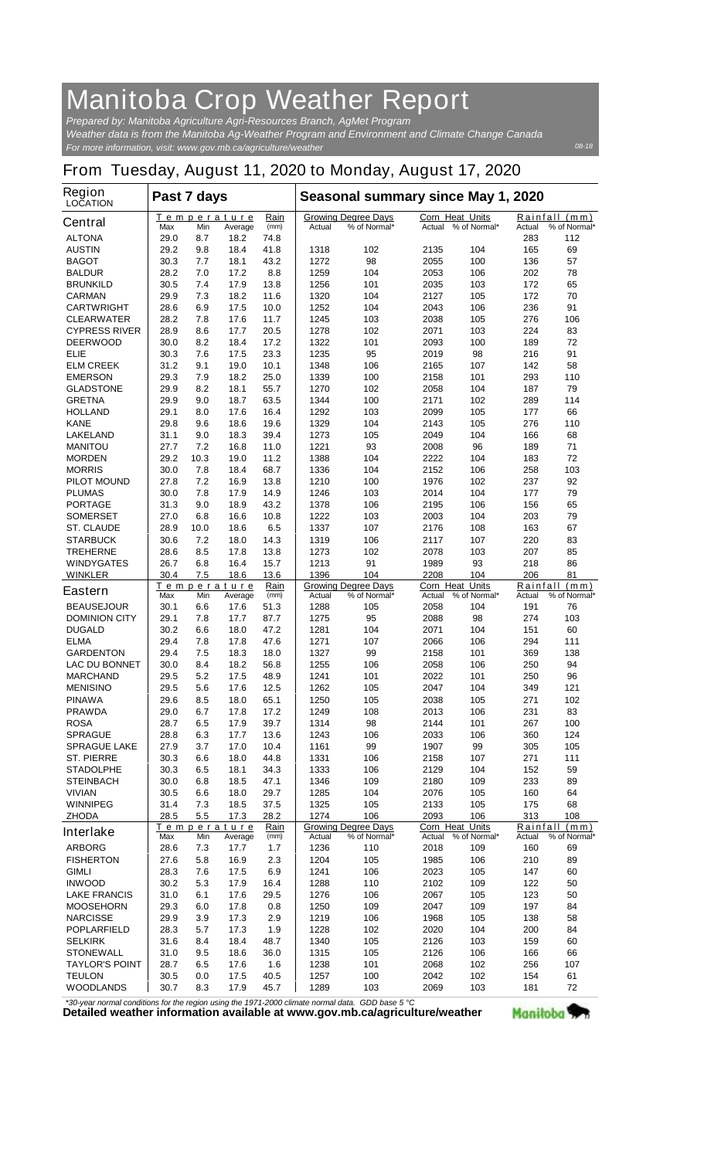## **Manitoba Crop Weather Report**

*For more information, visit: www.gov.mb.ca/agriculture/weather Prepared by: Manitoba Agriculture Agri-Resources Branch, AgMet Program Weather data is from the Manitoba Ag-Weather Program and Environment and Climate Change Canada*

## **From Tuesday, August 11, 2020 to Monday, August 17, 2020**

| <b>Region</b><br><b>LOCATION</b>          | Past 7 days  |             |                        |              | Seasonal summary since May 1, 2020 |                                            |              |                                        |            |                               |
|-------------------------------------------|--------------|-------------|------------------------|--------------|------------------------------------|--------------------------------------------|--------------|----------------------------------------|------------|-------------------------------|
| <b>Central</b>                            | Max          | Min         | Temperature<br>Average | Rain<br>(mm) | Actual                             | <b>Growing Degree Days</b><br>% of Normal* | Actual       | <b>Corn Heat Units</b><br>% of Normal* | Actual     | Rainfall (mm)<br>% of Normal* |
| <b>ALTONA</b>                             | 29.0         | 8.7         | 18.2                   | 74.8         |                                    |                                            |              |                                        | 283        | 112                           |
| <b>AUSTIN</b>                             | 29.2         | 9.8         | 18.4                   | 41.8         | 1318                               | 102                                        | 2135         | 104                                    | 165        | 69                            |
| <b>BAGOT</b>                              | 30.3         | 7.7         | 18.1                   | 43.2         | 1272                               | 98                                         | 2055         | 100                                    | 136        | 57                            |
| <b>BALDUR</b>                             | 28.2         | 7.0         | 17.2                   | 8.8          | 1259                               | 104                                        | 2053         | 106                                    | 202        | 78                            |
| <b>BRUNKILD</b>                           | 30.5         | 7.4         | 17.9                   | 13.8         | 1256                               | 101                                        | 2035         | 103                                    | 172        | 65                            |
| <b>CARMAN</b>                             | 29.9         | 7.3         | 18.2                   | 11.6         | 1320                               | 104                                        | 2127         | 105                                    | 172        | 70                            |
| <b>CARTWRIGHT</b><br><b>CLEARWATER</b>    | 28.6<br>28.2 | 6.9<br>7.8  | 17.5<br>17.6           | 10.0<br>11.7 | 1252<br>1245                       | 104<br>103                                 | 2043<br>2038 | 106<br>105                             | 236<br>276 | 91<br>106                     |
| <b>CYPRESS RIVER</b>                      | 28.9         | 8.6         | 17.7                   | 20.5         | 1278                               | 102                                        | 2071         | 103                                    | 224        | 83                            |
| <b>DEERWOOD</b>                           | 30.0         | 8.2         | 18.4                   | 17.2         | 1322                               | 101                                        | 2093         | 100                                    | 189        | 72                            |
| ELIE                                      | 30.3         | 7.6         | 17.5                   | 23.3         | 1235                               | 95                                         | 2019         | 98                                     | 216        | 91                            |
| <b>ELM CREEK</b>                          | 31.2         | 9.1         | 19.0                   | 10.1         | 1348                               | 106                                        | 2165         | 107                                    | 142        | 58                            |
| <b>EMERSON</b>                            | 29.3         | 7.9         | 18.2                   | 25.0         | 1339                               | 100                                        | 2158         | 101                                    | 293        | 110                           |
| <b>GLADSTONE</b>                          | 29.9         | 8.2         | 18.1                   | 55.7         | 1270                               | 102                                        | 2058         | 104                                    | 187        | 79                            |
| <b>GRETNA</b>                             | 29.9         | 9.0         | 18.7                   | 63.5         | 1344                               | 100                                        | 2171         | 102                                    | 289        | 114                           |
| <b>HOLLAND</b><br><b>KANE</b>             | 29.1<br>29.8 | 8.0<br>9.6  | 17.6<br>18.6           | 16.4<br>19.6 | 1292<br>1329                       | 103<br>104                                 | 2099<br>2143 | 105<br>105                             | 177<br>276 | 66<br>110                     |
| <b>LAKELAND</b>                           | 31.1         | 9.0         | 18.3                   | 39.4         | 1273                               | 105                                        | 2049         | 104                                    | 166        | 68                            |
| <b>MANITOU</b>                            | 27.7         | 7.2         | 16.8                   | 11.0         | 1221                               | 93                                         | 2008         | 96                                     | 189        | 71                            |
| <b>MORDEN</b>                             | 29.2         | 10.3        | 19.0                   | 11.2         | 1388                               | 104                                        | 2222         | 104                                    | 183        | 72                            |
| <b>MORRIS</b>                             | 30.0         | 7.8         | 18.4                   | 68.7         | 1336                               | 104                                        | 2152         | 106                                    | 258        | 103                           |
| <b>PILOT MOUND</b>                        | 27.8         | 7.2         | 16.9                   | 13.8         | 1210                               | 100                                        | 1976         | 102                                    | 237        | 92                            |
| <b>PLUMAS</b>                             | 30.0         | 7.8         | 17.9                   | 14.9         | 1246                               | 103                                        | 2014         | 104                                    | 177        | 79                            |
| <b>PORTAGE</b>                            | 31.3         | 9.0         | 18.9                   | 43.2         | 1378                               | 106                                        | 2195         | 106                                    | 156        | 65                            |
| <b>SOMERSET</b>                           | 27.0         | 6.8         | 16.6                   | 10.8         | 1222                               | 103                                        | 2003         | 104                                    | 203        | 79                            |
| <b>ST. CLAUDE</b><br><b>STARBUCK</b>      | 28.9<br>30.6 | 10.0<br>7.2 | 18.6<br>18.0           | 6.5<br>14.3  | 1337<br>1319                       | 107<br>106                                 | 2176<br>2117 | 108<br>107                             | 163<br>220 | 67<br>83                      |
| <b>TREHERNE</b>                           | 28.6         | 8.5         | 17.8                   | 13.8         | 1273                               | 102                                        | 2078         | 103                                    | 207        | 85                            |
| <b>WINDYGATES</b>                         | 26.7         | 6.8         | 16.4                   | 15.7         | 1213                               | 91                                         | 1989         | 93                                     | 218        | 86                            |
| <b>WINKLER</b>                            | 30.4         | 7.5         | 18.6                   | 13.6         | 1396                               | 104                                        | 2208         | 104                                    | 206        | 81                            |
| <b>Eastern</b>                            |              |             | <u>Temperature</u>     | Rain         |                                    | <b>Growing Degree Days</b>                 |              | <b>Corn Heat Units</b>                 | Rainfall   | (mm)                          |
|                                           | Max          | Min         | Average                | (mm)         | Actual                             | % of Normal*                               | Actual       | % of Normal*                           | Actual     | % of Normal*                  |
| <b>BEAUSEJOUR</b><br><b>DOMINION CITY</b> | 30.1<br>29.1 | 6.6<br>7.8  | 17.6<br>17.7           | 51.3<br>87.7 | 1288<br>1275                       | 105<br>95                                  | 2058<br>2088 | 104<br>98                              | 191<br>274 | 76<br>103                     |
| <b>DUGALD</b>                             | 30.2         | 6.6         | 18.0                   | 47.2         | 1281                               | 104                                        | 2071         | 104                                    | 151        | 60                            |
| <b>ELMA</b>                               | 29.4         | 7.8         | 17.8                   | 47.6         | 1271                               | 107                                        | 2066         | 106                                    | 294        | 111                           |
| <b>GARDENTON</b>                          | 29.4         | 7.5         | 18.3                   | 18.0         | 1327                               | 99                                         | 2158         | 101                                    | 369        | 138                           |
| <b>LAC DU BONNET</b>                      | 30.0         | 8.4         | 18.2                   | 56.8         | 1255                               | 106                                        | 2058         | 106                                    | 250        | 94                            |
| <b>MARCHAND</b>                           | 29.5         | 5.2         | 17.5                   | 48.9         | 1241                               | 101                                        | 2022         | 101                                    | 250        | 96                            |
| <b>MENISINO</b>                           | 29.5         | 5.6         | 17.6                   | 12.5         | 1262                               | 105                                        | 2047         | 104                                    | 349        | 121                           |
| <b>PINAWA</b><br><b>PRAWDA</b>            | 29.6<br>29.0 | 8.5<br>6.7  | 18.0<br>17.8           | 65.1<br>17.2 | 1250<br>1249                       | 105<br>108                                 | 2038<br>2013 | 105<br>106                             | 271<br>231 | 102<br>83                     |
| <b>ROSA</b>                               | 28.7         | 6.5         | 17.9                   | 39.7         | 1314                               | 98                                         | 2144         | 101                                    | 267        | 100                           |
| <b>SPRAGUE</b>                            | 28.8         | 6.3         | 17.7                   | 13.6         | 1243                               | 106                                        | 2033         | 106                                    | 360        | 124                           |
| <b>SPRAGUE LAKE</b>                       | 27.9         | 3.7         | 17.0                   | 10.4         | 1161                               | 99                                         | 1907         | 99                                     | 305        | 105                           |
| <b>ST. PIERRE</b>                         | 30.3         | 6.6         | 18.0                   | 44.8         | 1331                               | 106                                        | 2158         | 107                                    | 271        | 111                           |
| <b>STADOLPHE</b>                          | 30.3         | 6.5         | 18.1                   | 34.3         | 1333                               | 106                                        | 2129         | 104                                    | 152        | 59                            |
| <b>STEINBACH</b>                          | 30.0         | 6.8         | 18.5                   | 47.1         | 1346                               | 109                                        | 2180         | 109                                    | 233        | 89                            |
| <b>VIVIAN</b>                             | 30.5         | 6.6         | 18.0                   | 29.7         | 1285                               | 104                                        | 2076         | 105                                    | 160        | 64                            |
| <b>WINNIPEG</b><br><b>ZHODA</b>           | 31.4<br>28.5 | 7.3<br>5.5  | 18.5<br>17.3           | 37.5<br>28.2 | 1325<br>1274                       | 105<br>106                                 | 2133<br>2093 | 105<br>106                             | 175<br>313 | 68<br>108                     |
|                                           |              |             | <u>Temperature</u>     | Rain         |                                    | <b>Growing Degree Days</b>                 |              | Corn Heat Units                        |            | Rainfall (mm)                 |
| <b>Interlake</b>                          | Max          | Min         | Average                | (mm)         | Actual                             | % of Normal*                               |              | Actual % of Normal*                    | Actual     | % of Normal*                  |
| <b>ARBORG</b>                             | 28.6         | 7.3         | 17.7                   | 1.7          | 1236                               | 110                                        | 2018         | 109                                    | 160        | 69                            |
| <b>FISHERTON</b>                          | 27.6         | 5.8         | 16.9                   | 2.3          | 1204                               | 105                                        | 1985         | 106                                    | 210        | 89                            |
| <b>GIMLI</b>                              | 28.3         | 7.6         | 17.5                   | 6.9          | 1241                               | 106                                        | 2023         | 105                                    | 147        | 60                            |
| <b>INWOOD</b><br><b>LAKE FRANCIS</b>      | 30.2<br>31.0 | 5.3<br>6.1  | 17.9<br>17.6           | 16.4<br>29.5 | 1288<br>1276                       | 110<br>106                                 | 2102<br>2067 | 109<br>105                             | 122<br>123 | 50<br>50                      |
| <b>MOOSEHORN</b>                          | 29.3         | 6.0         | 17.8                   | 0.8          | 1250                               | 109                                        | 2047         | 109                                    | 197        | 84                            |
| <b>NARCISSE</b>                           | 29.9         | 3.9         | 17.3                   | 2.9          | 1219                               | 106                                        | 1968         | 105                                    | 138        | 58                            |
| <b>POPLARFIELD</b>                        | 28.3         | 5.7         | 17.3                   | 1.9          | 1228                               | 102                                        | 2020         | 104                                    | 200        | 84                            |
| <b>SELKIRK</b>                            | 31.6         | 8.4         | 18.4                   | 48.7         | 1340                               | 105                                        | 2126         | 103                                    | 159        | 60                            |
| <b>STONEWALL</b>                          | 31.0         | 9.5         | 18.6                   | 36.0         | 1315                               | 105                                        | 2126         | 106                                    | 166        | 66                            |
| <b>TAYLOR'S POINT</b>                     | 28.7         | 6.5         | 17.6                   | 1.6          | 1238                               | 101                                        | 2068         | 102                                    | 256        | 107                           |
| <b>TEULON</b>                             | 30.5         | 0.0         | 17.5                   | 40.5         | 1257                               | 100                                        | 2042         | 102                                    | 154        | 61                            |
| <b>WOODLANDS</b>                          | 30.7         | 8.3         | 17.9                   | 45.7         | 1289                               | 103                                        | 2069         | 103                                    | 181        | 72                            |

*\*30-year normal conditions for the region using the 1971-2000 climate normal data. GDD base 5 °C*<br>Detailed weather information available at www.gov.mb.ca/agriculture/weather